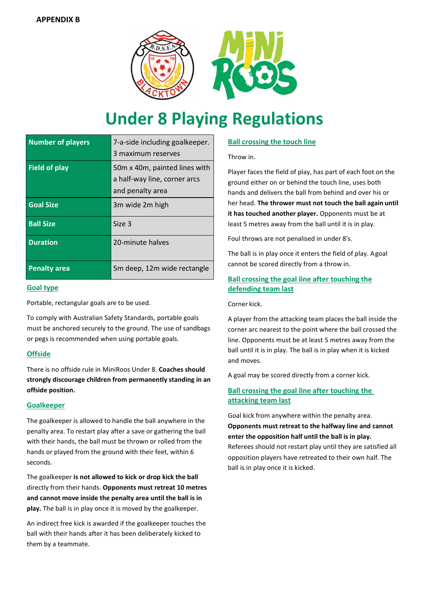

# **Under 8 Playing Regulations**

| <b>Number of players</b> | 7-a-side including goalkeeper.<br>3 maximum reserves                               |
|--------------------------|------------------------------------------------------------------------------------|
| <b>Field of play</b>     | 50 mx 40 m, painted lines with<br>a half-way line, corner arcs<br>and penalty area |
| <b>Goal Size</b>         | 3m wide 2m high                                                                    |
| <b>Ball Size</b>         | Size 3                                                                             |
| <b>Duration</b>          | 20-minute halves                                                                   |
| <b>Penalty area</b>      | 5m deep, 12m wide rectangle                                                        |

#### **Goal type**

Portable, rectangular goals are to be used.

To comply with Australian Safety Standards, portable goals must be anchored securely to the ground. The use of sandbags or pegs is recommended when using portable goals.

## **Offside**

There is no offside rule in MiniRoos Under 8. **Coaches should strongly discourage children from permanently standing in an offside position.**

## **Goalkeeper**

The goalkeeper is allowed to handle the ball anywhere in the penalty area. To restart play after a save or gathering the ball with their hands, the ball must be thrown or rolled from the hands or played from the ground with their feet, within 6 seconds.

The goalkeeper **is not allowed to kick or drop kick the ball**  directly from their hands. **Opponents must retreat 10 metres and cannot move inside the penalty area until the ball is in play.** The ball is in play once it is moved by the goalkeeper.

An indirect free kick is awarded if the goalkeeper touches the ball with their hands after it has been deliberately kicked to them by a teammate.

# **Ball crossing the touch line**

Throw in.

Player faces the field of play, has part of each foot on the ground either on or behind the touch line, uses both hands and delivers the ball from behind and over his or her head. **The thrower must not touch the ball again until it has touched another player.** Opponents must be at least 5 metres away from the ball until it is in play.

Foul throws are not penalised in under 8's.

The ball is in play once it enters the field of play. Agoal cannot be scored directly from a throw in.

# **Ball crossing the goal line after touching the defending team last**

#### Corner kick.

A player from the attacking team places the ball inside the corner arc nearest to the point where the ball crossed the line. Opponents must be at least 5 metres away from the ball until it is in play. The ball is in play when it is kicked and moves.

A goal may be scored directly from a corner kick.

# **Ball crossing the goal line after touching the attacking team last**

Goal kick from anywhere within the penalty area. **Opponents must retreat to the halfway line and cannot enter the opposition half until the ball is in play.** Referees should not restart play until they are satisfied all opposition players have retreated to their own half. The ball is in play once it is kicked.